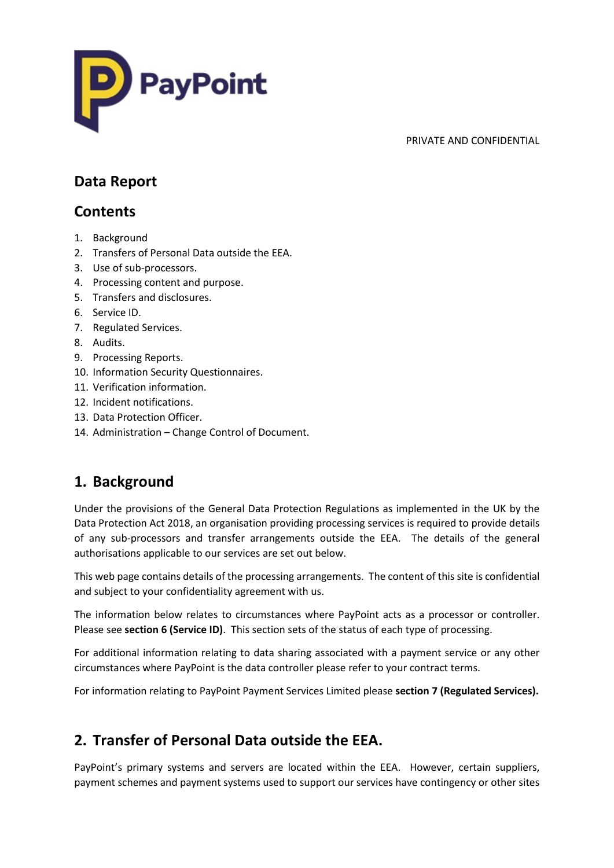

## **Data Report**

# **Contents**

- 1. Background
- 2. Transfers of Personal Data outside the EEA.
- 3. Use of sub-processors.
- 4. Processing content and purpose.
- 5. Transfers and disclosures.
- 6. Service ID.
- 7. Regulated Services.
- 8. Audits.
- 9. Processing Reports.
- 10. Information Security Questionnaires.
- 11. Verification information.
- 12. Incident notifications.
- 13. Data Protection Officer.
- 14. Administration Change Control of Document.

# **1. Background**

Under the provisions of the General Data Protection Regulations as implemented in the UK by the Data Protection Act 2018, an organisation providing processing services is required to provide details of any sub-processors and transfer arrangements outside the EEA. The details of the general authorisations applicable to our services are set out below.

This web page contains details of the processing arrangements. The content of this site is confidential and subject to your confidentiality agreement with us.

The information below relates to circumstances where PayPoint acts as a processor or controller. Please see **section 6 (Service ID)**. This section sets of the status of each type of processing.

For additional information relating to data sharing associated with a payment service or any other circumstances where PayPoint is the data controller please refer to your contract terms.

For information relating to PayPoint Payment Services Limited please **section 7 (Regulated Services).**

# **2. Transfer of Personal Data outside the EEA.**

PayPoint's primary systems and servers are located within the EEA. However, certain suppliers, payment schemes and payment systems used to support our services have contingency or other sites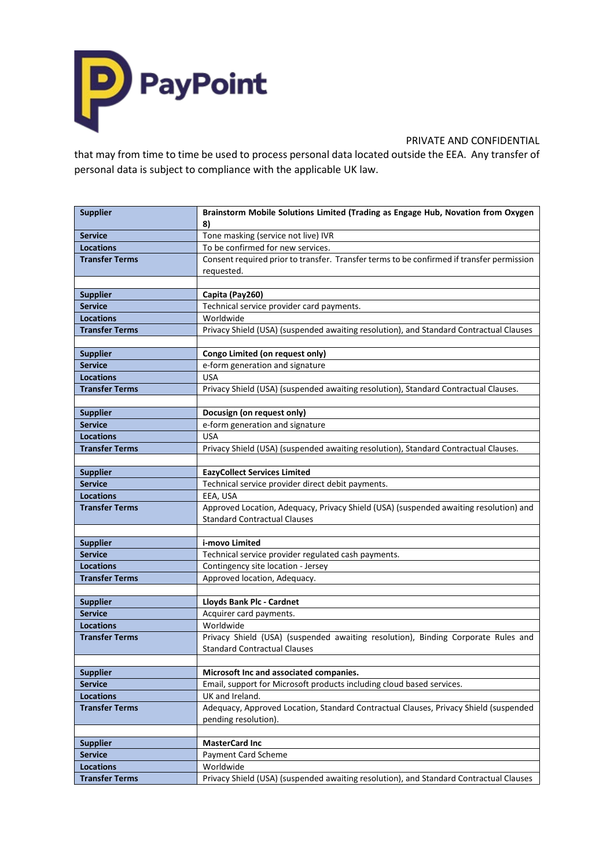

that may from time to time be used to process personal data located outside the EEA. Any transfer of personal data is subject to compliance with the applicable UK law.

| <b>Supplier</b>       | Brainstorm Mobile Solutions Limited (Trading as Engage Hub, Novation from Oxygen          |  |
|-----------------------|-------------------------------------------------------------------------------------------|--|
|                       | 8)                                                                                        |  |
| <b>Service</b>        | Tone masking (service not live) IVR                                                       |  |
| <b>Locations</b>      | To be confirmed for new services.                                                         |  |
| <b>Transfer Terms</b> | Consent required prior to transfer. Transfer terms to be confirmed if transfer permission |  |
|                       | requested.                                                                                |  |
|                       |                                                                                           |  |
| <b>Supplier</b>       | Capita (Pay260)                                                                           |  |
| <b>Service</b>        | Technical service provider card payments.                                                 |  |
| <b>Locations</b>      | Worldwide                                                                                 |  |
| <b>Transfer Terms</b> | Privacy Shield (USA) (suspended awaiting resolution), and Standard Contractual Clauses    |  |
|                       |                                                                                           |  |
| <b>Supplier</b>       | Congo Limited (on request only)                                                           |  |
| <b>Service</b>        | e-form generation and signature                                                           |  |
| <b>Locations</b>      | <b>USA</b>                                                                                |  |
| <b>Transfer Terms</b> | Privacy Shield (USA) (suspended awaiting resolution), Standard Contractual Clauses.       |  |
| <b>Supplier</b>       | Docusign (on request only)                                                                |  |
| <b>Service</b>        | e-form generation and signature                                                           |  |
| <b>Locations</b>      | <b>USA</b>                                                                                |  |
| <b>Transfer Terms</b> | Privacy Shield (USA) (suspended awaiting resolution), Standard Contractual Clauses.       |  |
|                       |                                                                                           |  |
| <b>Supplier</b>       | <b>EazyCollect Services Limited</b>                                                       |  |
| <b>Service</b>        | Technical service provider direct debit payments.                                         |  |
| <b>Locations</b>      | EEA, USA                                                                                  |  |
| <b>Transfer Terms</b> | Approved Location, Adequacy, Privacy Shield (USA) (suspended awaiting resolution) and     |  |
|                       | <b>Standard Contractual Clauses</b>                                                       |  |
|                       |                                                                                           |  |
| <b>Supplier</b>       | i-movo Limited                                                                            |  |
| <b>Service</b>        | Technical service provider regulated cash payments.                                       |  |
| <b>Locations</b>      | Contingency site location - Jersey                                                        |  |
| <b>Transfer Terms</b> | Approved location, Adequacy.                                                              |  |
|                       |                                                                                           |  |
| <b>Supplier</b>       | Lloyds Bank Plc - Cardnet                                                                 |  |
| <b>Service</b>        | Acquirer card payments.                                                                   |  |
| <b>Locations</b>      | Worldwide                                                                                 |  |
| <b>Transfer Terms</b> | Privacy Shield (USA) (suspended awaiting resolution), Binding Corporate Rules and         |  |
|                       | <b>Standard Contractual Clauses</b>                                                       |  |
|                       |                                                                                           |  |
| <b>Supplier</b>       | Microsoft Inc and associated companies.                                                   |  |
| <b>Service</b>        | Email, support for Microsoft products including cloud based services.                     |  |
| <b>Locations</b>      | UK and Ireland.                                                                           |  |
| <b>Transfer Terms</b> | Adequacy, Approved Location, Standard Contractual Clauses, Privacy Shield (suspended      |  |
|                       | pending resolution).                                                                      |  |
|                       |                                                                                           |  |
| <b>Supplier</b>       | <b>MasterCard Inc</b>                                                                     |  |
| <b>Service</b>        | Payment Card Scheme                                                                       |  |
| <b>Locations</b>      | Worldwide                                                                                 |  |
| <b>Transfer Terms</b> | Privacy Shield (USA) (suspended awaiting resolution), and Standard Contractual Clauses    |  |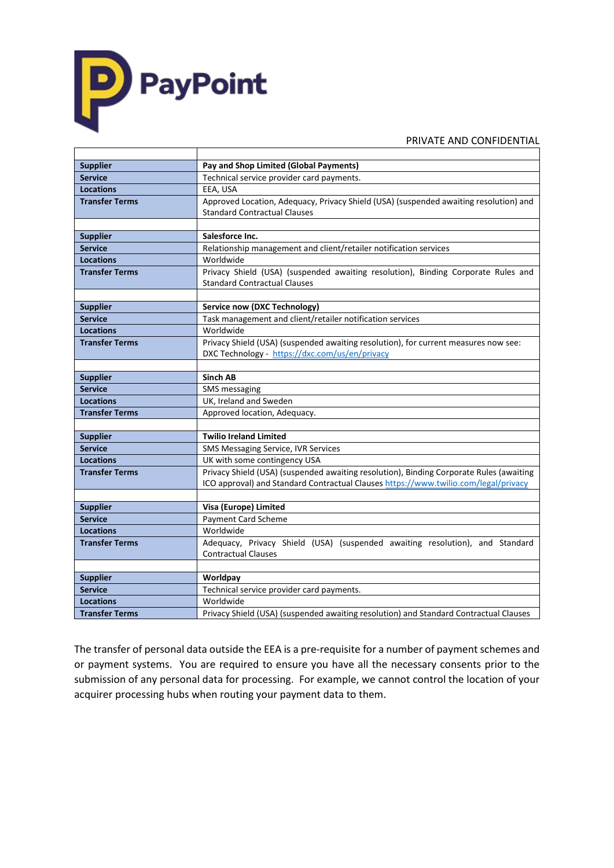

┯

#### PRIVATE AND CONFIDENTIAL

| <b>Supplier</b>       | Pay and Shop Limited (Global Payments)                                                  |
|-----------------------|-----------------------------------------------------------------------------------------|
| <b>Service</b>        | Technical service provider card payments.                                               |
| <b>Locations</b>      | EEA, USA                                                                                |
| <b>Transfer Terms</b> | Approved Location, Adequacy, Privacy Shield (USA) (suspended awaiting resolution) and   |
|                       | <b>Standard Contractual Clauses</b>                                                     |
|                       |                                                                                         |
| <b>Supplier</b>       | Salesforce Inc.                                                                         |
| <b>Service</b>        | Relationship management and client/retailer notification services                       |
| <b>Locations</b>      | Worldwide                                                                               |
| <b>Transfer Terms</b> | Privacy Shield (USA) (suspended awaiting resolution), Binding Corporate Rules and       |
|                       | <b>Standard Contractual Clauses</b>                                                     |
|                       |                                                                                         |
| <b>Supplier</b>       | Service now (DXC Technology)                                                            |
| <b>Service</b>        | Task management and client/retailer notification services                               |
| <b>Locations</b>      | Worldwide                                                                               |
| <b>Transfer Terms</b> | Privacy Shield (USA) (suspended awaiting resolution), for current measures now see:     |
|                       | DXC Technology - https://dxc.com/us/en/privacy                                          |
|                       |                                                                                         |
| <b>Supplier</b>       | <b>Sinch AB</b>                                                                         |
| <b>Service</b>        | SMS messaging                                                                           |
| <b>Locations</b>      | UK, Ireland and Sweden                                                                  |
| <b>Transfer Terms</b> | Approved location, Adequacy.                                                            |
|                       |                                                                                         |
| <b>Supplier</b>       | <b>Twilio Ireland Limited</b>                                                           |
| <b>Service</b>        | SMS Messaging Service, IVR Services                                                     |
| <b>Locations</b>      | UK with some contingency USA                                                            |
| <b>Transfer Terms</b> | Privacy Shield (USA) (suspended awaiting resolution), Binding Corporate Rules (awaiting |
|                       | ICO approval) and Standard Contractual Clauses https://www.twilio.com/legal/privacy     |
|                       |                                                                                         |
| <b>Supplier</b>       | Visa (Europe) Limited                                                                   |
| <b>Service</b>        | Payment Card Scheme                                                                     |
| <b>Locations</b>      | Worldwide                                                                               |
| <b>Transfer Terms</b> | Adequacy, Privacy Shield (USA) (suspended awaiting resolution), and Standard            |
|                       | <b>Contractual Clauses</b>                                                              |
|                       |                                                                                         |
| <b>Supplier</b>       | Worldpay                                                                                |
| <b>Service</b>        | Technical service provider card payments.                                               |
| <b>Locations</b>      | Worldwide                                                                               |
| <b>Transfer Terms</b> | Privacy Shield (USA) (suspended awaiting resolution) and Standard Contractual Clauses   |

The transfer of personal data outside the EEA is a pre-requisite for a number of payment schemes and or payment systems. You are required to ensure you have all the necessary consents prior to the submission of any personal data for processing. For example, we cannot control the location of your acquirer processing hubs when routing your payment data to them.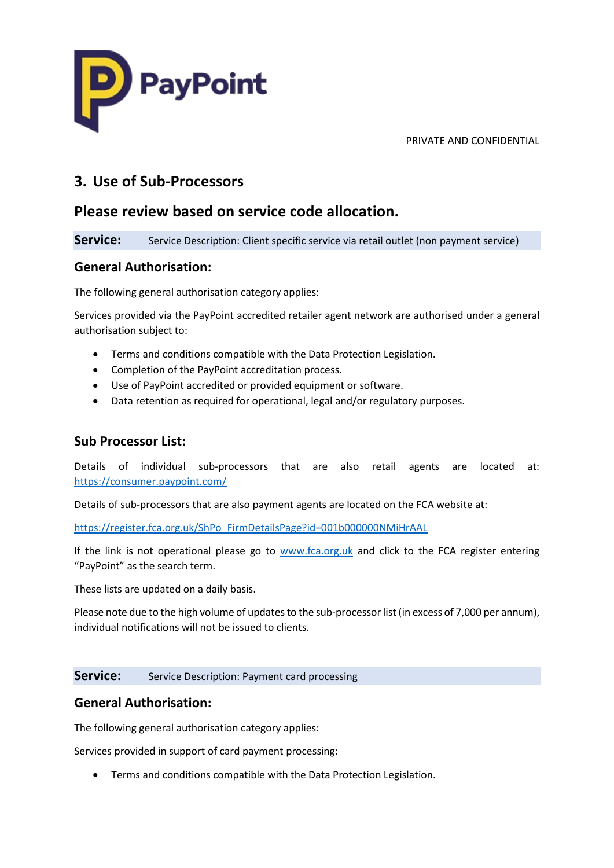

## **3. Use of Sub-Processors**

## **Please review based on service code allocation.**

**Service:** Service Description: Client specific service via retail outlet (non payment service)

## **General Authorisation:**

The following general authorisation category applies:

Services provided via the PayPoint accredited retailer agent network are authorised under a general authorisation subject to:

- Terms and conditions compatible with the Data Protection Legislation.
- Completion of the PayPoint accreditation process.
- Use of PayPoint accredited or provided equipment or software.
- Data retention as required for operational, legal and/or regulatory purposes.

## **Sub Processor List:**

Details of individual sub-processors that are also retail agents are located at: <https://consumer.paypoint.com/>

Details of sub-processors that are also payment agents are located on the FCA website at:

[https://register.fca.org.uk/ShPo\\_FirmDetailsPage?id=001b000000NMiHrAAL](https://register.fca.org.uk/ShPo_FirmDetailsPage?id=001b000000NMiHrAAL) 

If the link is not operational please go to [www.fca.org.uk](http://www.fca.org.uk/) and click to the FCA register entering "PayPoint" as the search term.

These lists are updated on a daily basis.

Please note due to the high volume of updates to the sub-processor list (in excess of 7,000 per annum), individual notifications will not be issued to clients.

### **Service:** Service Description: Payment card processing

## **General Authorisation:**

The following general authorisation category applies:

Services provided in support of card payment processing:

• Terms and conditions compatible with the Data Protection Legislation.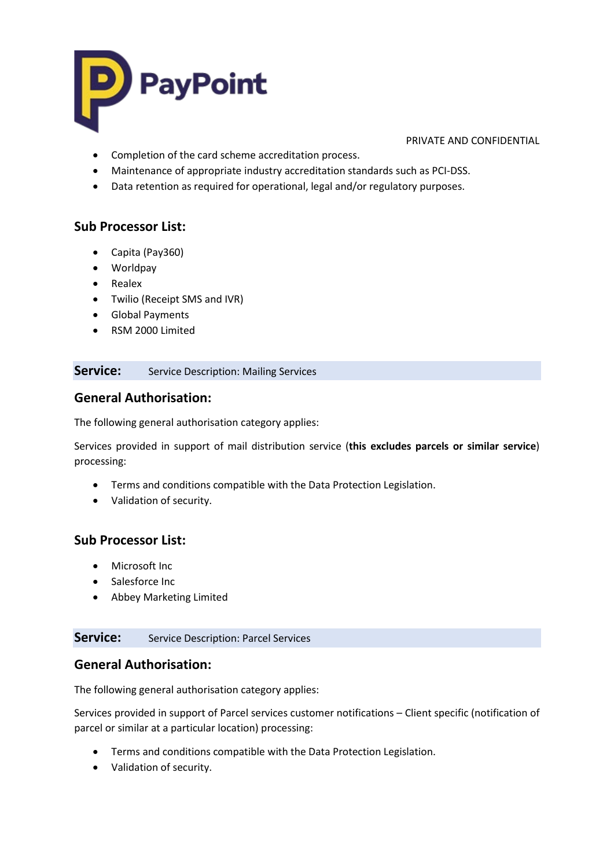

- Completion of the card scheme accreditation process.
- Maintenance of appropriate industry accreditation standards such as PCI-DSS.
- Data retention as required for operational, legal and/or regulatory purposes.

## **Sub Processor List:**

- Capita (Pay360)
- Worldpay
- Realex
- Twilio (Receipt SMS and IVR)
- Global Payments
- RSM 2000 Limited

### **Service:** Service Description: Mailing Services

## **General Authorisation:**

The following general authorisation category applies:

Services provided in support of mail distribution service (**this excludes parcels or similar service**) processing:

- Terms and conditions compatible with the Data Protection Legislation.
- Validation of security.

## **Sub Processor List:**

- Microsoft Inc
- Salesforce Inc
- Abbey Marketing Limited

### **Service:** Service Description: Parcel Services

### **General Authorisation:**

The following general authorisation category applies:

Services provided in support of Parcel services customer notifications – Client specific (notification of parcel or similar at a particular location) processing:

- Terms and conditions compatible with the Data Protection Legislation.
- Validation of security.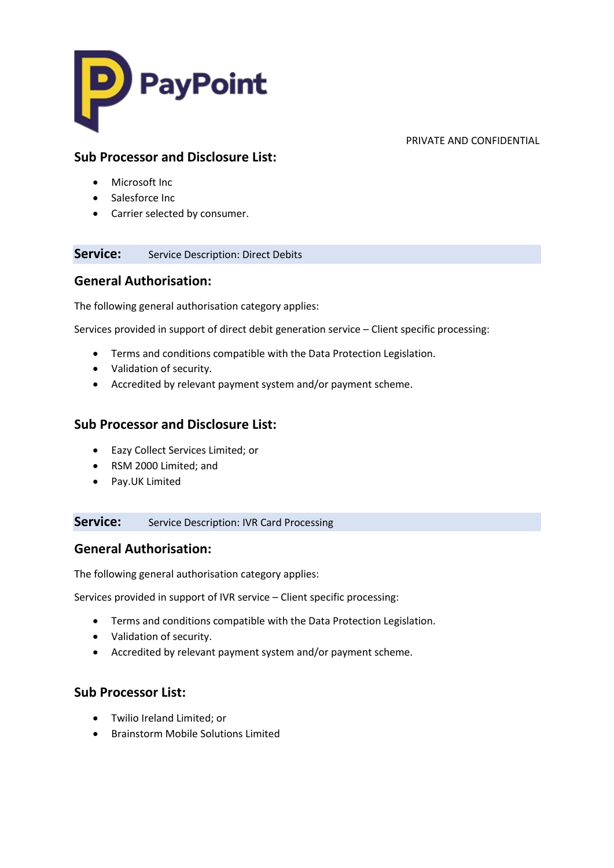

## **Sub Processor and Disclosure List:**

- Microsoft Inc
- Salesforce Inc
- Carrier selected by consumer.

## **Service:** Service Description: Direct Debits

## **General Authorisation:**

The following general authorisation category applies:

Services provided in support of direct debit generation service – Client specific processing:

- Terms and conditions compatible with the Data Protection Legislation.
- Validation of security.
- Accredited by relevant payment system and/or payment scheme.

## **Sub Processor and Disclosure List:**

- Eazy Collect Services Limited; or
- RSM 2000 Limited; and
- Pay.UK Limited

**Service:** Service Description: IVR Card Processing

## **General Authorisation:**

The following general authorisation category applies:

Services provided in support of IVR service – Client specific processing:

- Terms and conditions compatible with the Data Protection Legislation.
- Validation of security.
- Accredited by relevant payment system and/or payment scheme.

## **Sub Processor List:**

- Twilio Ireland Limited; or
- Brainstorm Mobile Solutions Limited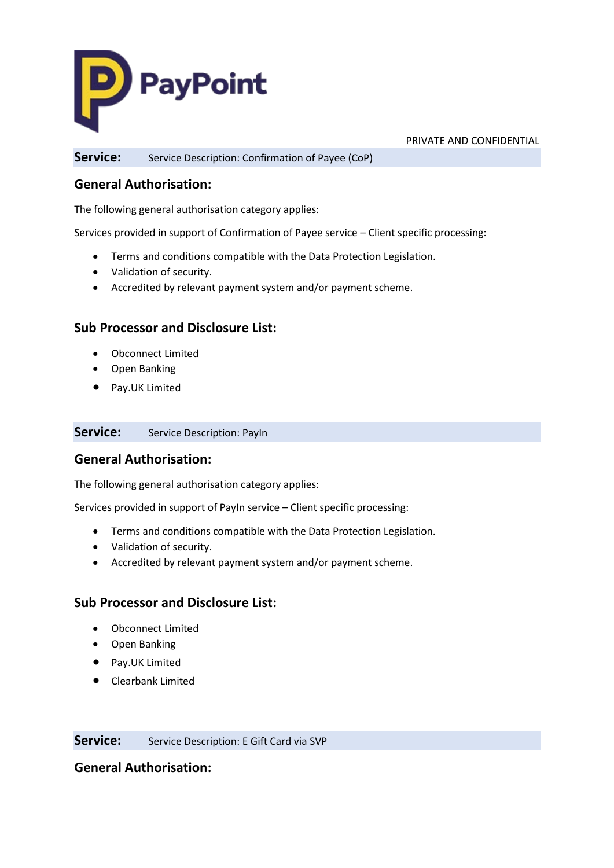

**Service:** Service Description: Confirmation of Payee (CoP)

## **General Authorisation:**

The following general authorisation category applies:

Services provided in support of Confirmation of Payee service – Client specific processing:

- Terms and conditions compatible with the Data Protection Legislation.
- Validation of security.
- Accredited by relevant payment system and/or payment scheme.

## **Sub Processor and Disclosure List:**

- Obconnect Limited
- Open Banking
- Pay.UK Limited

### **Service:** Service Description: PayIn

## **General Authorisation:**

The following general authorisation category applies:

Services provided in support of PayIn service – Client specific processing:

- Terms and conditions compatible with the Data Protection Legislation.
- Validation of security.
- Accredited by relevant payment system and/or payment scheme.

### **Sub Processor and Disclosure List:**

- Obconnect Limited
- Open Banking
- Pay.UK Limited
- Clearbank Limited

**Service:** Service Description: E Gift Card via SVP

## **General Authorisation:**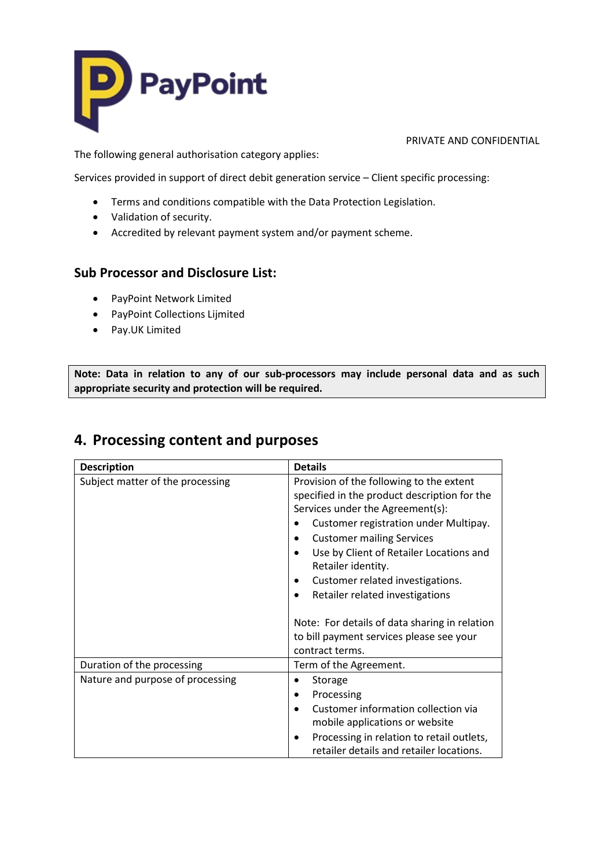

The following general authorisation category applies:

Services provided in support of direct debit generation service – Client specific processing:

- Terms and conditions compatible with the Data Protection Legislation.
- Validation of security.
- Accredited by relevant payment system and/or payment scheme.

## **Sub Processor and Disclosure List:**

- PayPoint Network Limited
- PayPoint Collections Lijmited
- Pay.UK Limited

**Note: Data in relation to any of our sub-processors may include personal data and as such appropriate security and protection will be required.** 

## **4. Processing content and purposes**

| <b>Description</b>               | <b>Details</b>                                |
|----------------------------------|-----------------------------------------------|
| Subject matter of the processing | Provision of the following to the extent      |
|                                  | specified in the product description for the  |
|                                  | Services under the Agreement(s):              |
|                                  | Customer registration under Multipay.         |
|                                  | <b>Customer mailing Services</b>              |
|                                  | Use by Client of Retailer Locations and       |
|                                  | Retailer identity.                            |
|                                  | Customer related investigations.              |
|                                  | Retailer related investigations               |
|                                  |                                               |
|                                  | Note: For details of data sharing in relation |
|                                  | to bill payment services please see your      |
|                                  | contract terms.                               |
| Duration of the processing       | Term of the Agreement.                        |
| Nature and purpose of processing | Storage                                       |
|                                  | Processing                                    |
|                                  | Customer information collection via           |
|                                  | mobile applications or website                |
|                                  | Processing in relation to retail outlets,     |
|                                  | retailer details and retailer locations.      |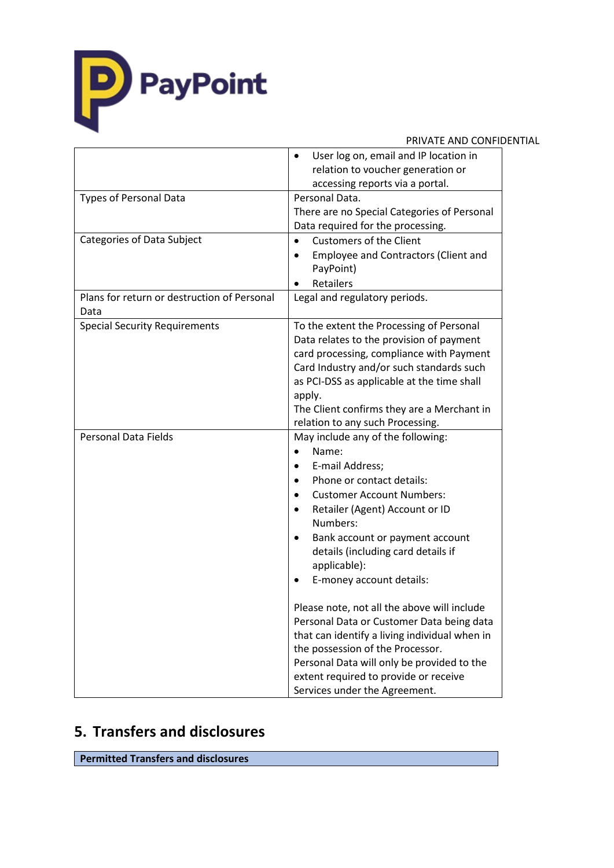

|                                             | PRIVATE AND CONFIDENTIAL                           |  |
|---------------------------------------------|----------------------------------------------------|--|
|                                             | User log on, email and IP location in<br>$\bullet$ |  |
|                                             | relation to voucher generation or                  |  |
|                                             | accessing reports via a portal.                    |  |
| <b>Types of Personal Data</b>               | Personal Data.                                     |  |
|                                             | There are no Special Categories of Personal        |  |
|                                             | Data required for the processing.                  |  |
| Categories of Data Subject                  | <b>Customers of the Client</b><br>$\bullet$        |  |
|                                             | Employee and Contractors (Client and               |  |
|                                             | PayPoint)                                          |  |
|                                             | Retailers                                          |  |
| Plans for return or destruction of Personal | Legal and regulatory periods.                      |  |
| Data                                        |                                                    |  |
| <b>Special Security Requirements</b>        | To the extent the Processing of Personal           |  |
|                                             | Data relates to the provision of payment           |  |
|                                             | card processing, compliance with Payment           |  |
|                                             | Card Industry and/or such standards such           |  |
|                                             | as PCI-DSS as applicable at the time shall         |  |
|                                             | apply.                                             |  |
|                                             | The Client confirms they are a Merchant in         |  |
|                                             | relation to any such Processing.                   |  |
| <b>Personal Data Fields</b>                 | May include any of the following:                  |  |
|                                             | Name:<br>$\bullet$                                 |  |
|                                             | E-mail Address;<br>$\bullet$                       |  |
|                                             | Phone or contact details:<br>$\bullet$             |  |
|                                             | <b>Customer Account Numbers:</b><br>$\bullet$      |  |
|                                             | Retailer (Agent) Account or ID<br>$\bullet$        |  |
|                                             | Numbers:                                           |  |
|                                             | Bank account or payment account<br>٠               |  |
|                                             | details (including card details if                 |  |
|                                             | applicable):                                       |  |
|                                             | E-money account details:                           |  |
|                                             | Please note, not all the above will include        |  |
|                                             | Personal Data or Customer Data being data          |  |
|                                             | that can identify a living individual when in      |  |
|                                             | the possession of the Processor.                   |  |
|                                             | Personal Data will only be provided to the         |  |
|                                             | extent required to provide or receive              |  |
|                                             | Services under the Agreement.                      |  |

# **5. Transfers and disclosures**

**Permitted Transfers and disclosures**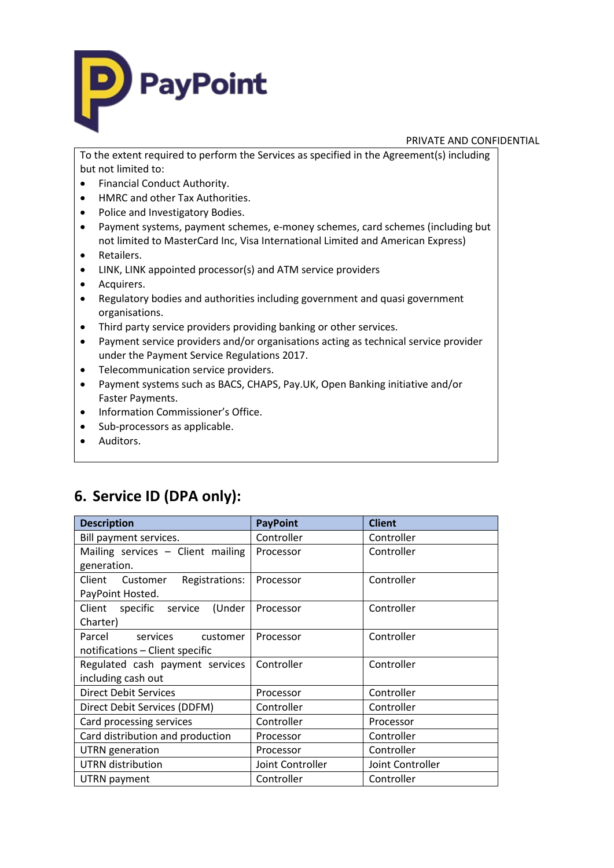

To the extent required to perform the Services as specified in the Agreement(s) including but not limited to:

- Financial Conduct Authority.
- HMRC and other Tax Authorities.
- Police and Investigatory Bodies.
- Payment systems, payment schemes, e-money schemes, card schemes (including but not limited to MasterCard Inc, Visa International Limited and American Express)
- Retailers.
- LINK, LINK appointed processor(s) and ATM service providers
- Acquirers.
- Regulatory bodies and authorities including government and quasi government organisations.
- Third party service providers providing banking or other services.
- Payment service providers and/or organisations acting as technical service provider under the Payment Service Regulations 2017.
- Telecommunication service providers.
- Payment systems such as BACS, CHAPS, Pay.UK, Open Banking initiative and/or Faster Payments.
- Information Commissioner's Office.
- Sub-processors as applicable.
- Auditors.

# **6. Service ID (DPA only):**

| <b>Description</b>                      | <b>PayPoint</b>  | <b>Client</b>    |
|-----------------------------------------|------------------|------------------|
| Bill payment services.                  | Controller       | Controller       |
| Mailing services - Client mailing       | Processor        | Controller       |
| generation.                             |                  |                  |
| Client<br>Customer<br>Registrations:    | Processor        | Controller       |
| PayPoint Hosted.                        |                  |                  |
| Client<br>specific<br>(Under<br>service | Processor        | Controller       |
| Charter)                                |                  |                  |
| Parcel<br>services<br>customer          | Processor        | Controller       |
| notifications - Client specific         |                  |                  |
| Regulated cash payment services         | Controller       | Controller       |
| including cash out                      |                  |                  |
| <b>Direct Debit Services</b>            | Processor        | Controller       |
| Direct Debit Services (DDFM)            | Controller       | Controller       |
| Card processing services                | Controller       | Processor        |
| Card distribution and production        | Processor        | Controller       |
| UTRN generation                         | Processor        | Controller       |
| <b>UTRN</b> distribution                | Joint Controller | Joint Controller |
| UTRN payment                            | Controller       | Controller       |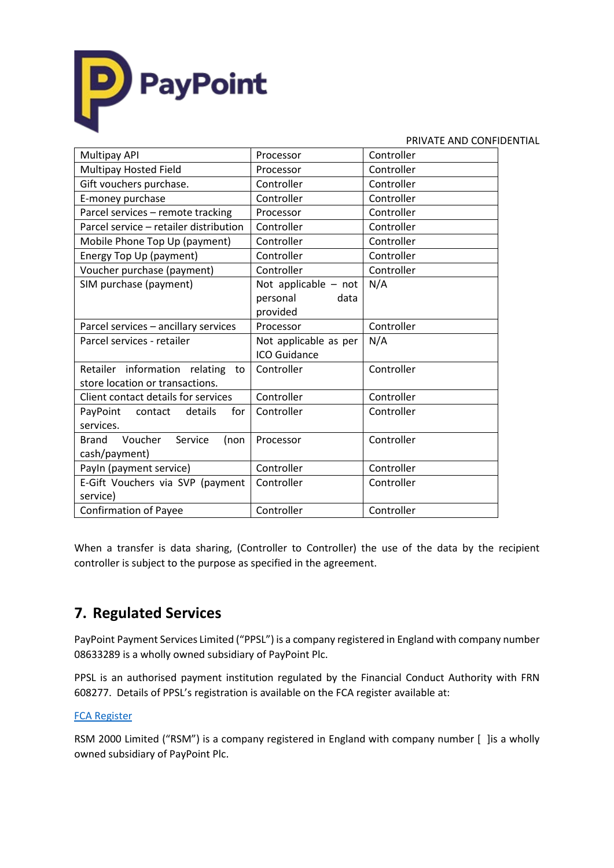

|                                            |                        | PRIVATE AND CONFIDENTIAL |
|--------------------------------------------|------------------------|--------------------------|
| Multipay API                               | Processor              | Controller               |
| Multipay Hosted Field                      | Processor              | Controller               |
| Gift vouchers purchase.                    | Controller             | Controller               |
| E-money purchase                           | Controller             | Controller               |
| Parcel services - remote tracking          | Processor              | Controller               |
| Parcel service - retailer distribution     | Controller             | Controller               |
| Mobile Phone Top Up (payment)              | Controller             | Controller               |
| Energy Top Up (payment)                    | Controller             | Controller               |
| Voucher purchase (payment)                 | Controller             | Controller               |
| SIM purchase (payment)                     | Not applicable $-$ not | N/A                      |
|                                            | personal<br>data       |                          |
|                                            | provided               |                          |
| Parcel services - ancillary services       | Processor              | Controller               |
| Parcel services - retailer                 | Not applicable as per  | N/A                      |
|                                            | ICO Guidance           |                          |
| Retailer information relating to           | Controller             | Controller               |
| store location or transactions.            |                        |                          |
| Client contact details for services        | Controller             | Controller               |
| PayPoint<br>details<br>contact<br>for      | Controller             | Controller               |
| services.                                  |                        |                          |
| Voucher<br>Service<br><b>Brand</b><br>(non | Processor              | Controller               |
| cash/payment)                              |                        |                          |
| Payln (payment service)                    | Controller             | Controller               |
| E-Gift Vouchers via SVP (payment           | Controller             | Controller               |
| service)                                   |                        |                          |
| <b>Confirmation of Payee</b>               | Controller             | Controller               |

When a transfer is data sharing, (Controller to Controller) the use of the data by the recipient controller is subject to the purpose as specified in the agreement.

# **7. Regulated Services**

PayPoint Payment Services Limited ("PPSL") is a company registered in England with company number 08633289 is a wholly owned subsidiary of PayPoint Plc.

PPSL is an authorised payment institution regulated by the Financial Conduct Authority with FRN 608277. Details of PPSL's registration is available on the FCA register available at:

### [FCA Register](https://register.fca.org.uk/shpo_searchresultspage?search=paypoint+payment+services&TOKEN=3wq1nht7eg7tr)

RSM 2000 Limited ("RSM") is a company registered in England with company number [ ] is a wholly owned subsidiary of PayPoint Plc.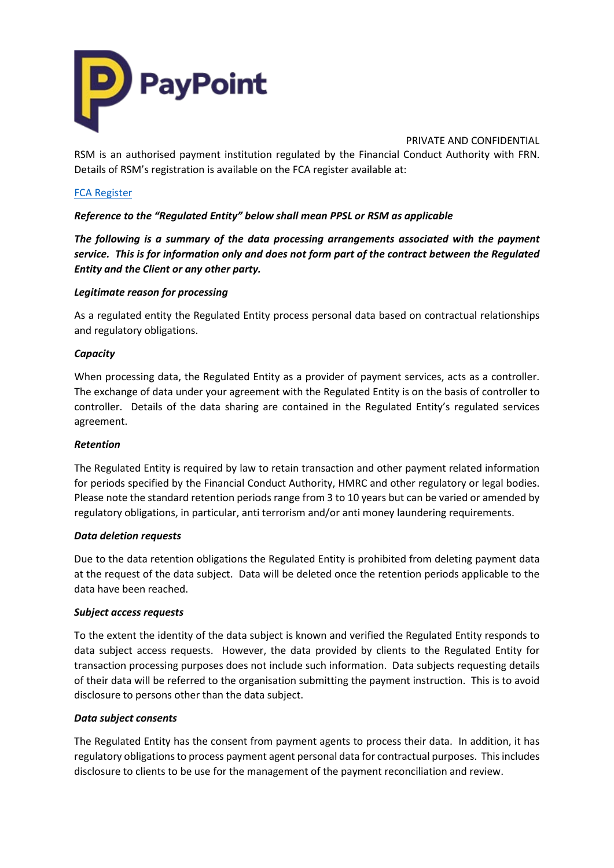

RSM is an authorised payment institution regulated by the Financial Conduct Authority with FRN. Details of RSM's registration is available on the FCA register available at:

### [FCA Register](https://register.fca.org.uk/shpo_searchresultspage?search=paypoint+payment+services&TOKEN=3wq1nht7eg7tr)

*Reference to the "Regulated Entity" below shall mean PPSL or RSM as applicable*

*The following is a summary of the data processing arrangements associated with the payment service. This is for information only and does not form part of the contract between the Regulated Entity and the Client or any other party.*

### *Legitimate reason for processing*

As a regulated entity the Regulated Entity process personal data based on contractual relationships and regulatory obligations.

### *Capacity*

When processing data, the Regulated Entity as a provider of payment services, acts as a controller. The exchange of data under your agreement with the Regulated Entity is on the basis of controller to controller. Details of the data sharing are contained in the Regulated Entity's regulated services agreement.

### *Retention*

The Regulated Entity is required by law to retain transaction and other payment related information for periods specified by the Financial Conduct Authority, HMRC and other regulatory or legal bodies. Please note the standard retention periods range from 3 to 10 years but can be varied or amended by regulatory obligations, in particular, anti terrorism and/or anti money laundering requirements.

### *Data deletion requests*

Due to the data retention obligations the Regulated Entity is prohibited from deleting payment data at the request of the data subject. Data will be deleted once the retention periods applicable to the data have been reached.

### *Subject access requests*

To the extent the identity of the data subject is known and verified the Regulated Entity responds to data subject access requests. However, the data provided by clients to the Regulated Entity for transaction processing purposes does not include such information. Data subjects requesting details of their data will be referred to the organisation submitting the payment instruction. This is to avoid disclosure to persons other than the data subject.

### *Data subject consents*

The Regulated Entity has the consent from payment agents to process their data. In addition, it has regulatory obligations to process payment agent personal data for contractual purposes. This includes disclosure to clients to be use for the management of the payment reconciliation and review.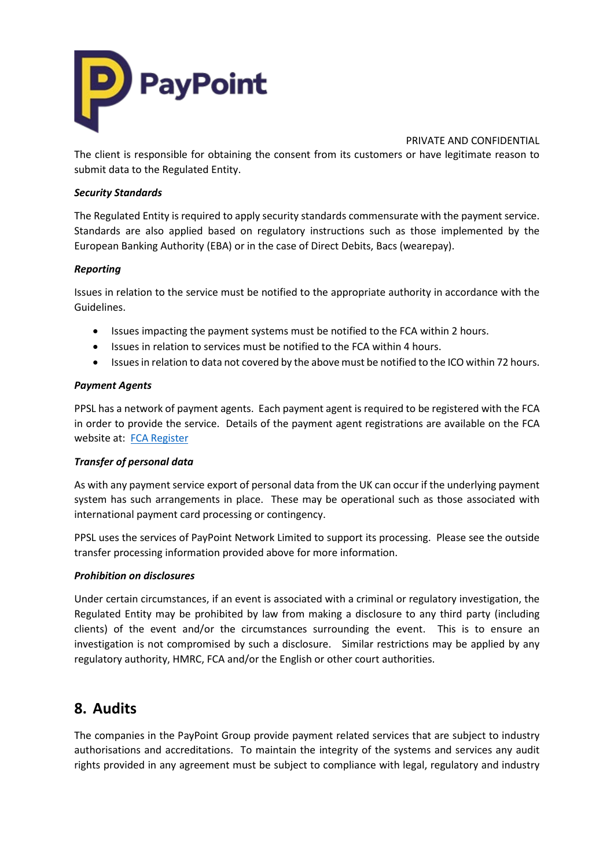

The client is responsible for obtaining the consent from its customers or have legitimate reason to submit data to the Regulated Entity.

### *Security Standards*

The Regulated Entity is required to apply security standards commensurate with the payment service. Standards are also applied based on regulatory instructions such as those implemented by the European Banking Authority (EBA) or in the case of Direct Debits, Bacs (wearepay).

### *Reporting*

Issues in relation to the service must be notified to the appropriate authority in accordance with the Guidelines.

- Issues impacting the payment systems must be notified to the FCA within 2 hours.
- Issues in relation to services must be notified to the FCA within 4 hours.
- Issues in relation to data not covered by the above must be notified to the ICO within 72 hours.

### *Payment Agents*

PPSL has a network of payment agents. Each payment agent is required to be registered with the FCA in order to provide the service. Details of the payment agent registrations are available on the FCA website at: [FCA Register](https://register.fca.org.uk/shpo_searchresultspage?search=paypoint+payment+services&TOKEN=3wq1nht7eg7tr)

### *Transfer of personal data*

As with any payment service export of personal data from the UK can occur if the underlying payment system has such arrangements in place. These may be operational such as those associated with international payment card processing or contingency.

PPSL uses the services of PayPoint Network Limited to support its processing. Please see the outside transfer processing information provided above for more information.

### *Prohibition on disclosures*

Under certain circumstances, if an event is associated with a criminal or regulatory investigation, the Regulated Entity may be prohibited by law from making a disclosure to any third party (including clients) of the event and/or the circumstances surrounding the event. This is to ensure an investigation is not compromised by such a disclosure. Similar restrictions may be applied by any regulatory authority, HMRC, FCA and/or the English or other court authorities.

## **8. Audits**

The companies in the PayPoint Group provide payment related services that are subject to industry authorisations and accreditations. To maintain the integrity of the systems and services any audit rights provided in any agreement must be subject to compliance with legal, regulatory and industry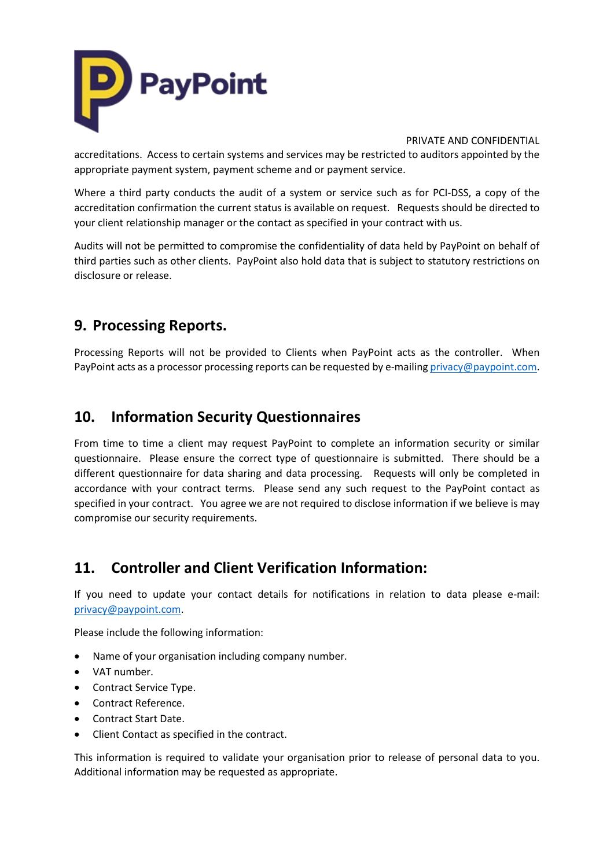

accreditations. Access to certain systems and services may be restricted to auditors appointed by the appropriate payment system, payment scheme and or payment service.

Where a third party conducts the audit of a system or service such as for PCI-DSS, a copy of the accreditation confirmation the current status is available on request. Requests should be directed to your client relationship manager or the contact as specified in your contract with us.

Audits will not be permitted to compromise the confidentiality of data held by PayPoint on behalf of third parties such as other clients. PayPoint also hold data that is subject to statutory restrictions on disclosure or release.

# **9. Processing Reports.**

Processing Reports will not be provided to Clients when PayPoint acts as the controller. When PayPoint acts as a processor processing reports can be requested by e-mailin[g privacy@paypoint.com.](mailto:privacy@paypoint.com)

# **10. Information Security Questionnaires**

From time to time a client may request PayPoint to complete an information security or similar questionnaire. Please ensure the correct type of questionnaire is submitted. There should be a different questionnaire for data sharing and data processing. Requests will only be completed in accordance with your contract terms. Please send any such request to the PayPoint contact as specified in your contract. You agree we are not required to disclose information if we believe is may compromise our security requirements.

# **11. Controller and Client Verification Information:**

If you need to update your contact details for notifications in relation to data please e-mail: [privacy@paypoint.com.](mailto:privacy@paypoint.com)

Please include the following information:

- Name of your organisation including company number.
- VAT number.
- Contract Service Type.
- Contract Reference.
- Contract Start Date.
- Client Contact as specified in the contract.

This information is required to validate your organisation prior to release of personal data to you. Additional information may be requested as appropriate.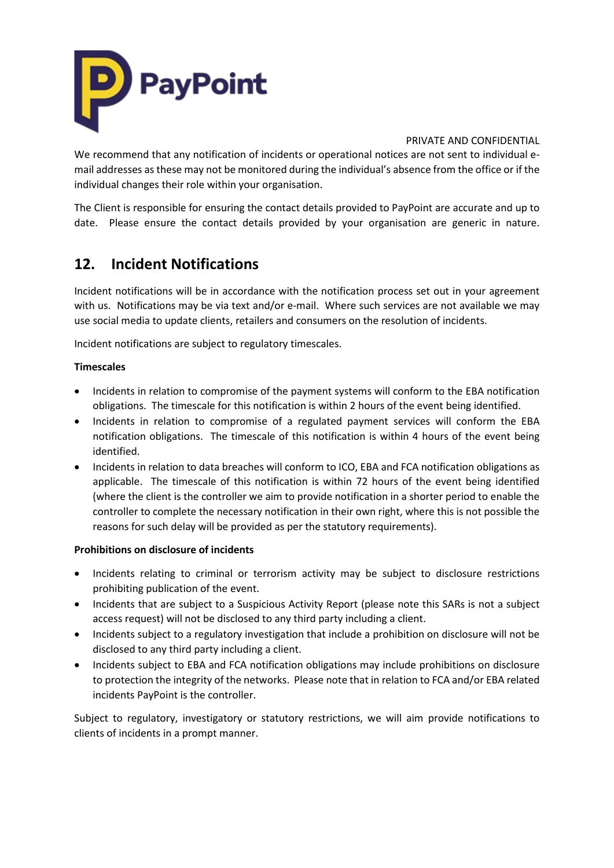

We recommend that any notification of incidents or operational notices are not sent to individual email addresses as these may not be monitored during the individual's absence from the office or if the individual changes their role within your organisation.

The Client is responsible for ensuring the contact details provided to PayPoint are accurate and up to date. Please ensure the contact details provided by your organisation are generic in nature.

# **12. Incident Notifications**

Incident notifications will be in accordance with the notification process set out in your agreement with us. Notifications may be via text and/or e-mail. Where such services are not available we may use social media to update clients, retailers and consumers on the resolution of incidents.

Incident notifications are subject to regulatory timescales.

### **Timescales**

- Incidents in relation to compromise of the payment systems will conform to the EBA notification obligations. The timescale for this notification is within 2 hours of the event being identified.
- Incidents in relation to compromise of a regulated payment services will conform the EBA notification obligations. The timescale of this notification is within 4 hours of the event being identified.
- Incidents in relation to data breaches will conform to ICO, EBA and FCA notification obligations as applicable. The timescale of this notification is within 72 hours of the event being identified (where the client is the controller we aim to provide notification in a shorter period to enable the controller to complete the necessary notification in their own right, where this is not possible the reasons for such delay will be provided as per the statutory requirements).

### **Prohibitions on disclosure of incidents**

- Incidents relating to criminal or terrorism activity may be subject to disclosure restrictions prohibiting publication of the event.
- Incidents that are subject to a Suspicious Activity Report (please note this SARs is not a subject access request) will not be disclosed to any third party including a client.
- Incidents subject to a regulatory investigation that include a prohibition on disclosure will not be disclosed to any third party including a client.
- Incidents subject to EBA and FCA notification obligations may include prohibitions on disclosure to protection the integrity of the networks. Please note that in relation to FCA and/or EBA related incidents PayPoint is the controller.

Subject to regulatory, investigatory or statutory restrictions, we will aim provide notifications to clients of incidents in a prompt manner.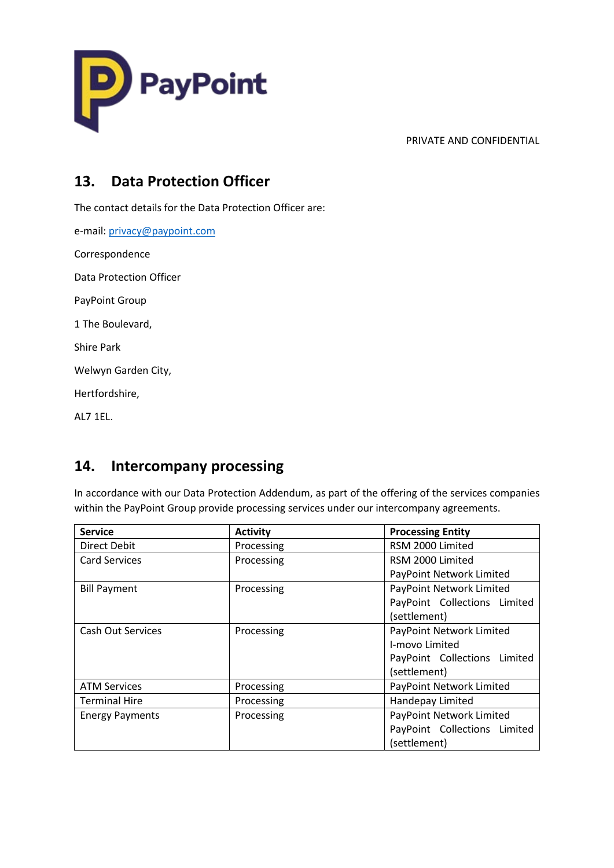

# **13. Data Protection Officer**

The contact details for the Data Protection Officer are:

e-mail: [privacy@paypoint.com](mailto:privacy@paypoint.com) Correspondence Data Protection Officer PayPoint Group 1 The Boulevard, Shire Park Welwyn Garden City, Hertfordshire,

AL7 1EL.

# **14. Intercompany processing**

In accordance with our Data Protection Addendum, as part of the offering of the services companies within the PayPoint Group provide processing services under our intercompany agreements.

| <b>Service</b>           | <b>Activity</b> | <b>Processing Entity</b>     |
|--------------------------|-----------------|------------------------------|
| Direct Debit             | Processing      | RSM 2000 Limited             |
| <b>Card Services</b>     | Processing      | RSM 2000 Limited             |
|                          |                 | PayPoint Network Limited     |
| <b>Bill Payment</b>      | Processing      | PayPoint Network Limited     |
|                          |                 | PayPoint Collections Limited |
|                          |                 | (settlement)                 |
| <b>Cash Out Services</b> | Processing      | PayPoint Network Limited     |
|                          |                 | I-movo Limited               |
|                          |                 | PayPoint Collections Limited |
|                          |                 | (settlement)                 |
| <b>ATM Services</b>      | Processing      | PayPoint Network Limited     |
| <b>Terminal Hire</b>     | Processing      | Handepay Limited             |
| <b>Energy Payments</b>   | Processing      | PayPoint Network Limited     |
|                          |                 | PayPoint Collections Limited |
|                          |                 | (settlement)                 |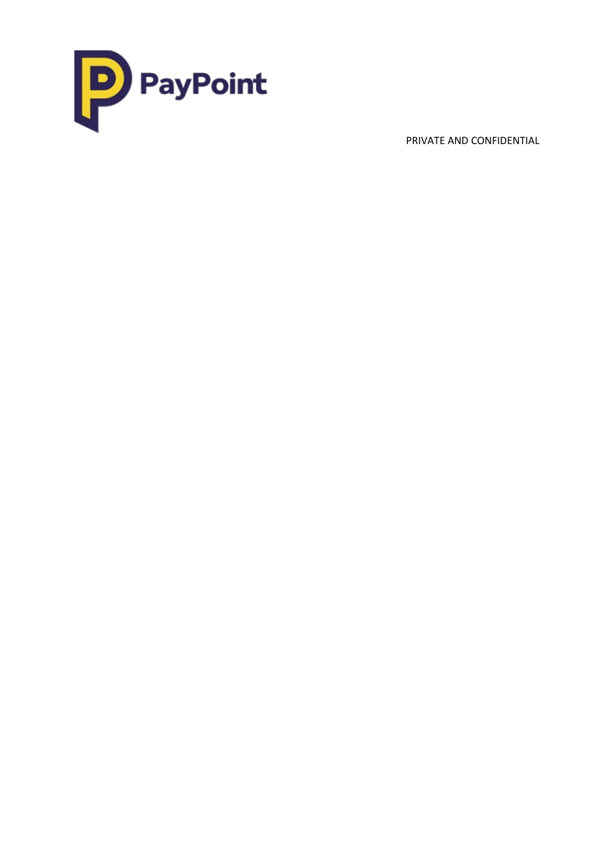